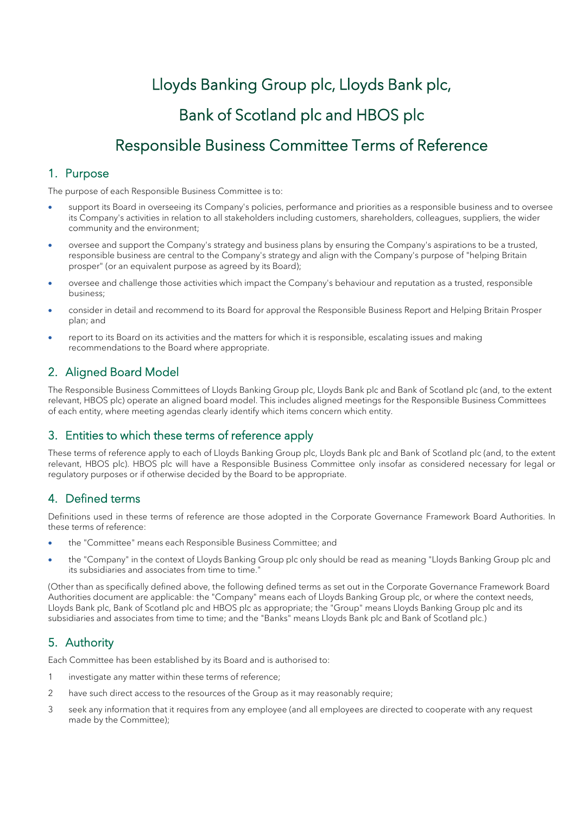# Lloyds Banking Group plc, Lloyds Bank plc, Bank of Scotland plc and HBOS plc Responsible Business Committee Terms of Reference

# 1. Purpose

The purpose of each Responsible Business Committee is to:

- support its Board in overseeing its Company's policies, performance and priorities as a responsible business and to oversee its Company's activities in relation to all stakeholders including customers, shareholders, colleagues, suppliers, the wider community and the environment;
- oversee and support the Company's strategy and business plans by ensuring the Company's aspirations to be a trusted, responsible business are central to the Company's strategy and align with the Company's purpose of "helping Britain prosper" (or an equivalent purpose as agreed by its Board);
- oversee and challenge those activities which impact the Company's behaviour and reputation as a trusted, responsible business;
- consider in detail and recommend to its Board for approval the Responsible Business Report and Helping Britain Prosper plan; and
- report to its Board on its activities and the matters for which it is responsible, escalating issues and making recommendations to the Board where appropriate.

# 2. Aligned Board Model

The Responsible Business Committees of Lloyds Banking Group plc, Lloyds Bank plc and Bank of Scotland plc (and, to the extent relevant, HBOS plc) operate an aligned board model. This includes aligned meetings for the Responsible Business Committees of each entity, where meeting agendas clearly identify which items concern which entity.

## 3. Entities to which these terms of reference apply

These terms of reference apply to each of Lloyds Banking Group plc, Lloyds Bank plc and Bank of Scotland plc (and, to the extent relevant, HBOS plc). HBOS plc will have a Responsible Business Committee only insofar as considered necessary for legal or regulatory purposes or if otherwise decided by the Board to be appropriate.

# 4. Defined terms

Definitions used in these terms of reference are those adopted in the Corporate Governance Framework Board Authorities. In these terms of reference:

- the "Committee" means each Responsible Business Committee; and
- the "Company" in the context of Lloyds Banking Group plc only should be read as meaning "Lloyds Banking Group plc and its subsidiaries and associates from time to time."

(Other than as specifically defined above, the following defined terms as set out in the Corporate Governance Framework Board Authorities document are applicable: the "Company" means each of Lloyds Banking Group plc, or where the context needs, Lloyds Bank plc, Bank of Scotland plc and HBOS plc as appropriate; the "Group" means Lloyds Banking Group plc and its subsidiaries and associates from time to time; and the "Banks" means Lloyds Bank plc and Bank of Scotland plc.)

# 5. Authority

Each Committee has been established by its Board and is authorised to:

- 1 investigate any matter within these terms of reference;
- 2 have such direct access to the resources of the Group as it may reasonably require;
- 3 seek any information that it requires from any employee (and all employees are directed to cooperate with any request made by the Committee);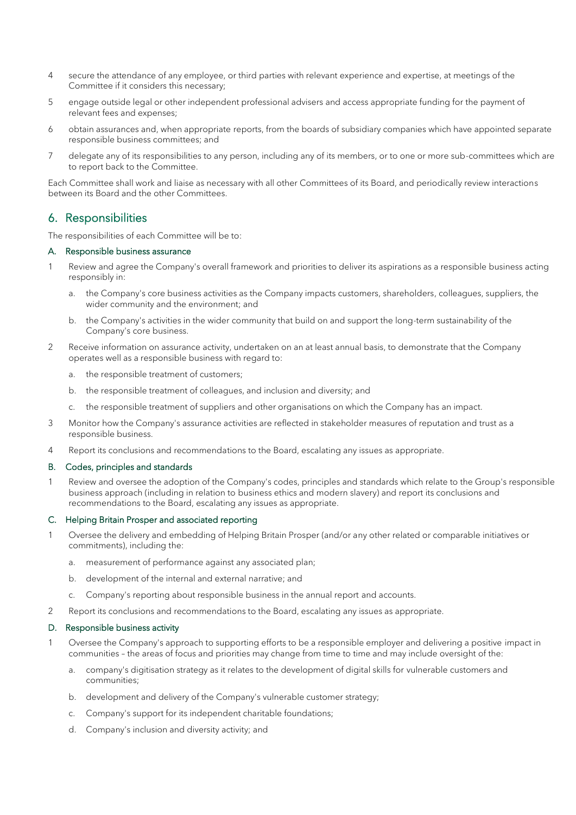- 4 secure the attendance of any employee, or third parties with relevant experience and expertise, at meetings of the Committee if it considers this necessary;
- 5 engage outside legal or other independent professional advisers and access appropriate funding for the payment of relevant fees and expenses;
- 6 obtain assurances and, when appropriate reports, from the boards of subsidiary companies which have appointed separate responsible business committees; and
- 7 delegate any of its responsibilities to any person, including any of its members, or to one or more sub-committees which are to report back to the Committee.

Each Committee shall work and liaise as necessary with all other Committees of its Board, and periodically review interactions between its Board and the other Committees.

## 6. Responsibilities

The responsibilities of each Committee will be to:

## A. Responsible business assurance

- Review and agree the Company's overall framework and priorities to deliver its aspirations as a responsible business acting responsibly in:
	- a. the Company's core business activities as the Company impacts customers, shareholders, colleagues, suppliers, the wider community and the environment; and
	- b. the Company's activities in the wider community that build on and support the long-term sustainability of the Company's core business.
- 2 Receive information on assurance activity, undertaken on an at least annual basis, to demonstrate that the Company operates well as a responsible business with regard to:
	- a. the responsible treatment of customers;
	- b. the responsible treatment of colleagues, and inclusion and diversity; and
	- c. the responsible treatment of suppliers and other organisations on which the Company has an impact.
- 3 Monitor how the Company's assurance activities are reflected in stakeholder measures of reputation and trust as a responsible business.
- 4 Report its conclusions and recommendations to the Board, escalating any issues as appropriate.

### B. Codes, principles and standards

1 Review and oversee the adoption of the Company's codes, principles and standards which relate to the Group's responsible business approach (including in relation to business ethics and modern slavery) and report its conclusions and recommendations to the Board, escalating any issues as appropriate.

## C. Helping Britain Prosper and associated reporting

- Oversee the delivery and embedding of Helping Britain Prosper (and/or any other related or comparable initiatives or commitments), including the:
	- a. measurement of performance against any associated plan;
	- b. development of the internal and external narrative; and
	- c. Company's reporting about responsible business in the annual report and accounts.
- 2 Report its conclusions and recommendations to the Board, escalating any issues as appropriate.

### D. Responsible business activity

- 1 Oversee the Company's approach to supporting efforts to be a responsible employer and delivering a positive impact in communities – the areas of focus and priorities may change from time to time and may include oversight of the:
	- a. company's digitisation strategy as it relates to the development of digital skills for vulnerable customers and communities;
	- b. development and delivery of the Company's vulnerable customer strategy;
	- c. Company's support for its independent charitable foundations;
	- d. Company's inclusion and diversity activity; and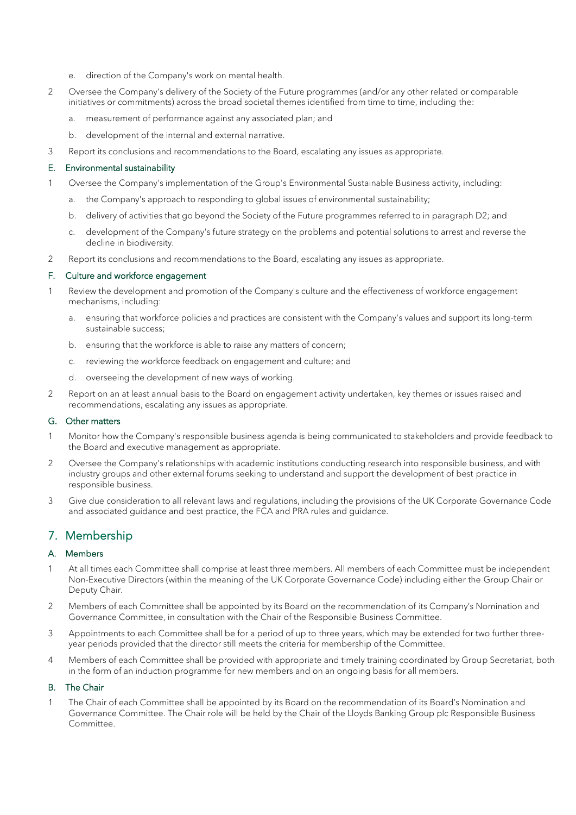- e. direction of the Company's work on mental health.
- 2 Oversee the Company's delivery of the Society of the Future programmes (and/or any other related or comparable initiatives or commitments) across the broad societal themes identified from time to time, including the:
	- a. measurement of performance against any associated plan; and
	- b. development of the internal and external narrative.
- 3 Report its conclusions and recommendations to the Board, escalating any issues as appropriate.

## E. Environmental sustainability

- 1 Oversee the Company's implementation of the Group's Environmental Sustainable Business activity, including:
	- a. the Company's approach to responding to global issues of environmental sustainability;
	- b. delivery of activities that go beyond the Society of the Future programmes referred to in paragraph D2; and
	- c. development of the Company's future strategy on the problems and potential solutions to arrest and reverse the decline in biodiversity.
- 2 Report its conclusions and recommendations to the Board, escalating any issues as appropriate.

## F. Culture and workforce engagement

- 1 Review the development and promotion of the Company's culture and the effectiveness of workforce engagement mechanisms, including:
	- a. ensuring that workforce policies and practices are consistent with the Company's values and support its long-term sustainable success;
	- b. ensuring that the workforce is able to raise any matters of concern;
	- c. reviewing the workforce feedback on engagement and culture; and
	- d. overseeing the development of new ways of working.
- 2 Report on an at least annual basis to the Board on engagement activity undertaken, key themes or issues raised and recommendations, escalating any issues as appropriate.

## G. Other matters

- 1 Monitor how the Company's responsible business agenda is being communicated to stakeholders and provide feedback to the Board and executive management as appropriate.
- 2 Oversee the Company's relationships with academic institutions conducting research into responsible business, and with industry groups and other external forums seeking to understand and support the development of best practice in responsible business.
- 3 Give due consideration to all relevant laws and regulations, including the provisions of the UK Corporate Governance Code and associated guidance and best practice, the FCA and PRA rules and guidance.

## 7. Membership

## A. Members

- 1 At all times each Committee shall comprise at least three members. All members of each Committee must be independent Non-Executive Directors (within the meaning of the UK Corporate Governance Code) including either the Group Chair or Deputy Chair.
- 2 Members of each Committee shall be appointed by its Board on the recommendation of its Company's Nomination and Governance Committee, in consultation with the Chair of the Responsible Business Committee.
- 3 Appointments to each Committee shall be for a period of up to three years, which may be extended for two further threeyear periods provided that the director still meets the criteria for membership of the Committee.
- 4 Members of each Committee shall be provided with appropriate and timely training coordinated by Group Secretariat, both in the form of an induction programme for new members and on an ongoing basis for all members.

## B. The Chair

1 The Chair of each Committee shall be appointed by its Board on the recommendation of its Board's Nomination and Governance Committee. The Chair role will be held by the Chair of the Lloyds Banking Group plc Responsible Business Committee.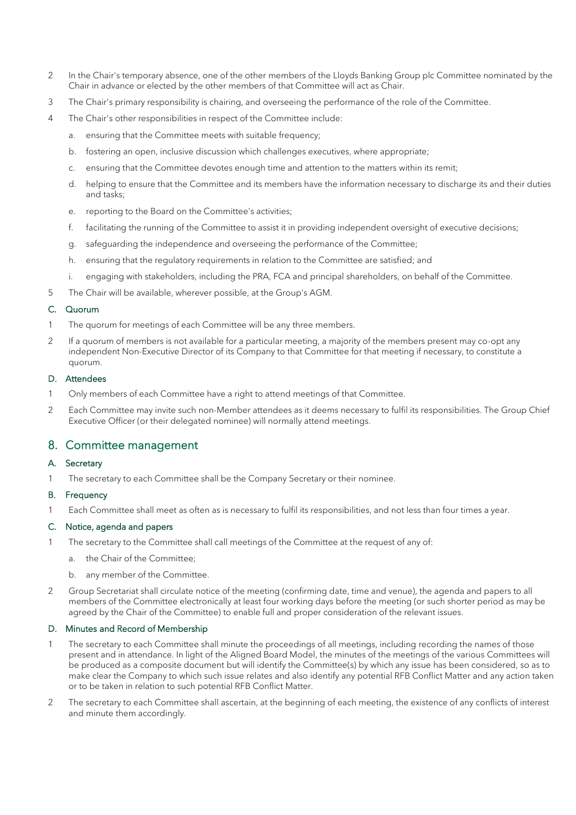- 2 In the Chair's temporary absence, one of the other members of the Lloyds Banking Group plc Committee nominated by the Chair in advance or elected by the other members of that Committee will act as Chair.
- 3 The Chair's primary responsibility is chairing, and overseeing the performance of the role of the Committee.
- 4 The Chair's other responsibilities in respect of the Committee include:
	- a. ensuring that the Committee meets with suitable frequency;
	- b. fostering an open, inclusive discussion which challenges executives, where appropriate;
	- c. ensuring that the Committee devotes enough time and attention to the matters within its remit;
	- d. helping to ensure that the Committee and its members have the information necessary to discharge its and their duties and tasks;
	- e. reporting to the Board on the Committee's activities;
	- f. facilitating the running of the Committee to assist it in providing independent oversight of executive decisions;
	- g. safeguarding the independence and overseeing the performance of the Committee;
	- h. ensuring that the regulatory requirements in relation to the Committee are satisfied; and
	- i. engaging with stakeholders, including the PRA, FCA and principal shareholders, on behalf of the Committee.
- 5 The Chair will be available, wherever possible, at the Group's AGM.

## C. Quorum

- 1 The quorum for meetings of each Committee will be any three members.
- 2 If a quorum of members is not available for a particular meeting, a majority of the members present may co-opt any independent Non-Executive Director of its Company to that Committee for that meeting if necessary, to constitute a quorum.

## D. Attendees

- 1 Only members of each Committee have a right to attend meetings of that Committee.
- 2 Each Committee may invite such non-Member attendees as it deems necessary to fulfil its responsibilities. The Group Chief Executive Officer (or their delegated nominee) will normally attend meetings.

## 8. Committee management

## A. Secretary

1 The secretary to each Committee shall be the Company Secretary or their nominee.

### B. Frequency

1 Each Committee shall meet as often as is necessary to fulfil its responsibilities, and not less than four times a year.

## C. Notice, agenda and papers

- 1 The secretary to the Committee shall call meetings of the Committee at the request of any of:
	- a. the Chair of the Committee;
	- b. any member of the Committee.
- 2 Group Secretariat shall circulate notice of the meeting (confirming date, time and venue), the agenda and papers to all members of the Committee electronically at least four working days before the meeting (or such shorter period as may be agreed by the Chair of the Committee) to enable full and proper consideration of the relevant issues.

## D. Minutes and Record of Membership

- The secretary to each Committee shall minute the proceedings of all meetings, including recording the names of those present and in attendance. In light of the Aligned Board Model, the minutes of the meetings of the various Committees will be produced as a composite document but will identify the Committee(s) by which any issue has been considered, so as to make clear the Company to which such issue relates and also identify any potential RFB Conflict Matter and any action taken or to be taken in relation to such potential RFB Conflict Matter.
- 2 The secretary to each Committee shall ascertain, at the beginning of each meeting, the existence of any conflicts of interest and minute them accordingly.